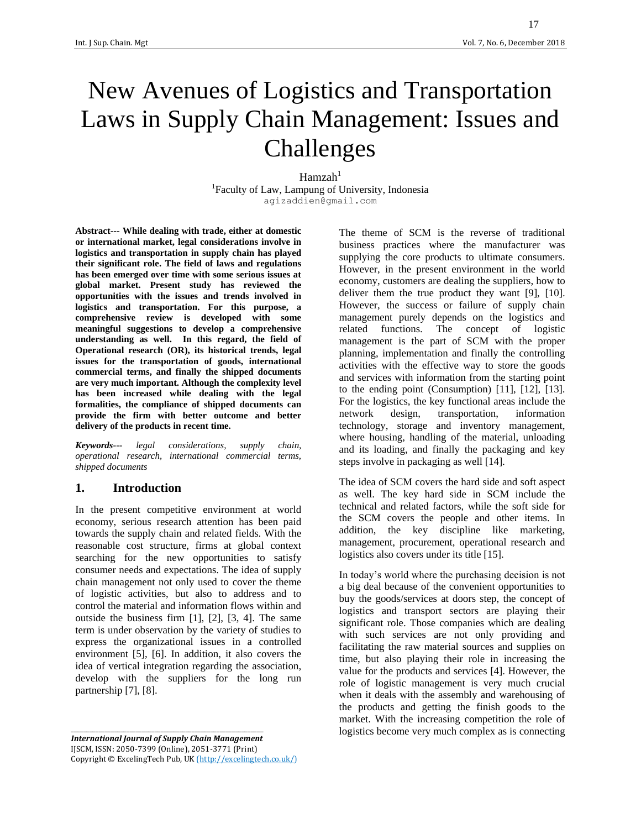# New Avenues of Logistics and Transportation Laws in Supply Chain Management: Issues and Challenges

#### $Hamzah<sup>1</sup>$

1 Faculty of Law, Lampung of University, Indonesia [agizaddien@gmail.com](mailto:agizaddien@gmail.com)

**Abstract--- While dealing with trade, either at domestic or international market, legal considerations involve in logistics and transportation in supply chain has played their significant role. The field of laws and regulations has been emerged over time with some serious issues at global market. Present study has reviewed the opportunities with the issues and trends involved in logistics and transportation. For this purpose, a comprehensive review is developed with some meaningful suggestions to develop a comprehensive understanding as well. In this regard, the field of Operational research (OR), its historical trends, legal issues for the transportation of goods, international commercial terms, and finally the shipped documents are very much important. Although the complexity level has been increased while dealing with the legal formalities, the compliance of shipped documents can provide the firm with better outcome and better delivery of the products in recent time.** 

*Keywords--- legal considerations, supply chain, operational research, international commercial terms, shipped documents* 

#### **1. Introduction**

In the present competitive environment at world economy, serious research attention has been paid towards the supply chain and related fields. With the reasonable cost structure, firms at global context searching for the new opportunities to satisfy consumer needs and expectations. The idea of supply chain management not only used to cover the theme of logistic activities, but also to address and to control the material and information flows within and outside the business firm [1], [2], [3, 4]. The same term is under observation by the variety of studies to express the organizational issues in a controlled environment [5], [6]. In addition, it also covers the idea of vertical integration regarding the association, develop with the suppliers for the long run partnership [7], [8].

*International Journal of Supply Chain Management* IJSCM, ISSN: 2050-7399 (Online), 2051-3771 (Print) Copyright © ExcelingTech Pub, UK [\(http://excelingtech.co.uk/\)](http://excelingtech.co.uk/) The theme of SCM is the reverse of traditional business practices where the manufacturer was supplying the core products to ultimate consumers. However, in the present environment in the world economy, customers are dealing the suppliers, how to deliver them the true product they want [9], [10]. However, the success or failure of supply chain management purely depends on the logistics and related functions. The concept of logistic management is the part of SCM with the proper planning, implementation and finally the controlling activities with the effective way to store the goods and services with information from the starting point to the ending point (Consumption) [11], [12], [13]. For the logistics, the key functional areas include the network design, transportation, information technology, storage and inventory management, where housing, handling of the material, unloading and its loading, and finally the packaging and key steps involve in packaging as well [14].

The idea of SCM covers the hard side and soft aspect as well. The key hard side in SCM include the technical and related factors, while the soft side for the SCM covers the people and other items. In addition, the key discipline like marketing, management, procurement, operational research and logistics also covers under its title [15].

In today's world where the purchasing decision is not a big deal because of the convenient opportunities to buy the goods/services at doors step, the concept of logistics and transport sectors are playing their significant role. Those companies which are dealing with such services are not only providing and facilitating the raw material sources and supplies on time, but also playing their role in increasing the value for the products and services [4]. However, the role of logistic management is very much crucial when it deals with the assembly and warehousing of the products and getting the finish goods to the market. With the increasing competition the role of logistics become very much complex as is connecting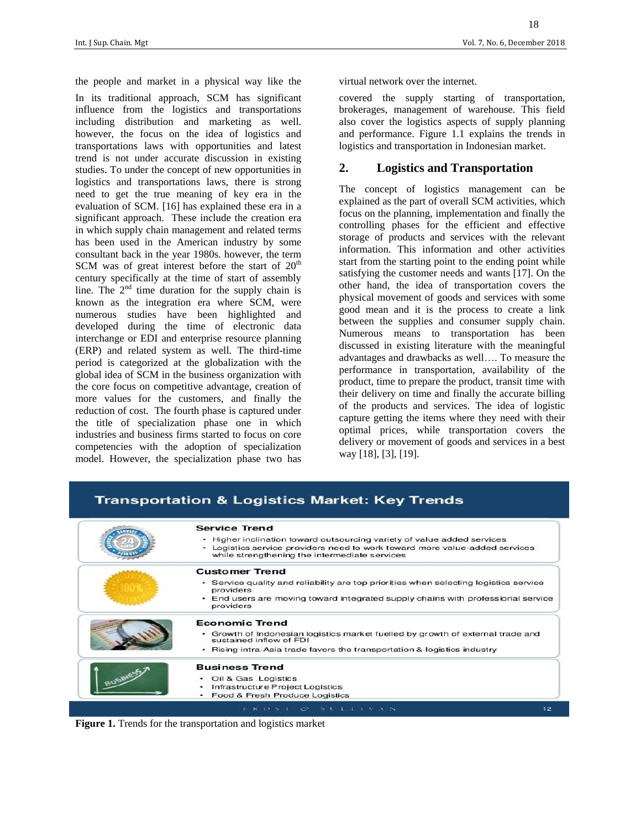the people and market in a physical way like the virtual network over the internet. In its traditional approach, SCM has significant influence from the logistics and transportations including distribution and marketing as well. however, the focus on the idea of logistics and transportations laws with opportunities and latest trend is not under accurate discussion in existing studies. To under the concept of new opportunities in logistics and transportations laws, there is strong need to get the true meaning of key era in the evaluation of SCM. [16] has explained these era in a significant approach. These include the creation era in which supply chain management and related terms has been used in the American industry by some consultant back in the year 1980s. however, the term SCM was of great interest before the start of  $20<sup>th</sup>$ century specifically at the time of start of assembly line. The  $2<sup>nd</sup>$  time duration for the supply chain is known as the integration era where SCM, were numerous studies have been highlighted and developed during the time of electronic data interchange or EDI and enterprise resource planning (ERP) and related system as well. The third-time period is categorized at the globalization with the global idea of SCM in the business organization with the core focus on competitive advantage, creation of more values for the customers, and finally the reduction of cost. The fourth phase is captured under the title of specialization phase one in which industries and business firms started to focus on core competencies with the adoption of specialization model. However, the specialization phase two has

covered the supply starting of transportation, brokerages, management of warehouse. This field also cover the logistics aspects of supply planning and performance. Figure 1.1 explains the trends in logistics and transportation in Indonesian market.

## **2. Logistics and Transportation**

The concept of logistics management can be explained as the part of overall SCM activities, which focus on the planning, implementation and finally the controlling phases for the efficient and effective storage of products and services with the relevant information. This information and other activities start from the starting point to the ending point while satisfying the customer needs and wants [17]. On the other hand, the idea of transportation covers the physical movement of goods and services with some good mean and it is the process to create a link between the supplies and consumer supply chain. Numerous means to transportation has been discussed in existing literature with the meaningful advantages and drawbacks as well…. To measure the performance in transportation, availability of the product, time to prepare the product, transit time with their delivery on time and finally the accurate billing of the products and services. The idea of logistic capture getting the items where they need with their optimal prices, while transportation covers the delivery or movement of goods and services in a best way [18], [3], [19].

|  | <b>Service Trend</b>                                                                                                                                                                                    |
|--|---------------------------------------------------------------------------------------------------------------------------------------------------------------------------------------------------------|
|  | • Higher inclination toward outsourcing variety of value added services<br>- Logistics service providers need to work toward more value-added services<br>while strengthening the intermediate services |
|  | <b>Customer Trend</b>                                                                                                                                                                                   |
|  | • Service quality and reliability are top priorities when selecting logistics service<br>providers                                                                                                      |
|  | • End users are moving toward integrated supply chains with professional service<br>providers                                                                                                           |
|  | <b>Economic Trend</b>                                                                                                                                                                                   |
|  | • Growth of Indonesian logistics market fuelled by growth of external trade and<br>sustained inflow of FDI                                                                                              |
|  | • Rising intra-Asia trade favors the transportation & logistics industry                                                                                                                                |
|  | <b>Business Trend</b>                                                                                                                                                                                   |
|  | • Oil & Gas Logistics                                                                                                                                                                                   |
|  | Infrastructure Project Logistics                                                                                                                                                                        |
|  | Food & Fresh Produce Logistics                                                                                                                                                                          |

**Transportation & Logistics Market: Key Trends** 

**Figure 1.** Trends for the transportation and logistics market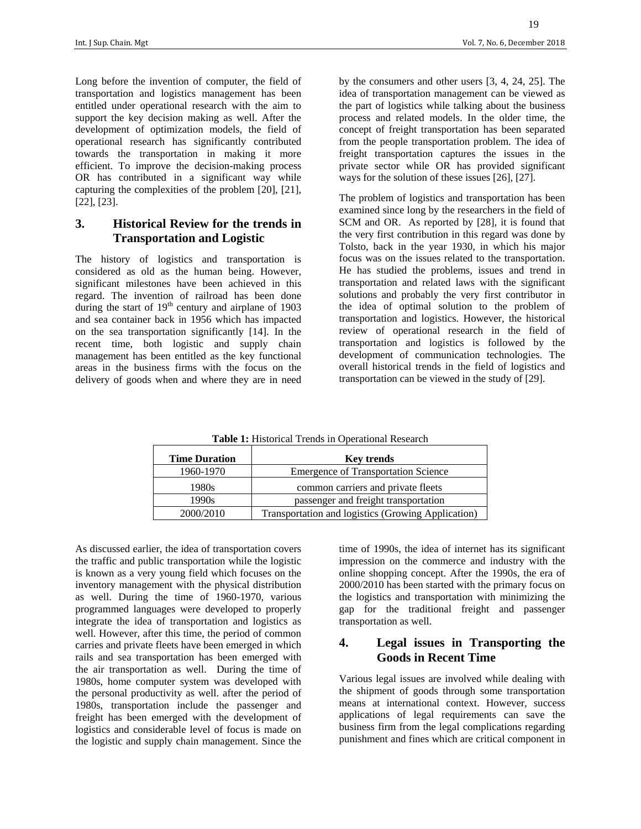Long before the invention of computer, the field of transportation and logistics management has been entitled under operational research with the aim to support the key decision making as well. After the development of optimization models, the field of operational research has significantly contributed towards the transportation in making it more efficient. To improve the decision-making process OR has contributed in a significant way while capturing the complexities of the problem [20], [21], [22], [23].

# **3. Historical Review for the trends in Transportation and Logistic**

The history of logistics and transportation is considered as old as the human being. However, significant milestones have been achieved in this regard. The invention of railroad has been done during the start of  $19<sup>th</sup>$  century and airplane of 1903 and sea container back in 1956 which has impacted on the sea transportation significantly [14]. In the recent time, both logistic and supply chain management has been entitled as the key functional areas in the business firms with the focus on the delivery of goods when and where they are in need

by the consumers and other users [3, 4, 24, 25]. The idea of transportation management can be viewed as the part of logistics while talking about the business process and related models. In the older time, the concept of freight transportation has been separated from the people transportation problem. The idea of freight transportation captures the issues in the private sector while OR has provided significant ways for the solution of these issues [26], [27].

The problem of logistics and transportation has been examined since long by the researchers in the field of SCM and OR. As reported by [28], it is found that the very first contribution in this regard was done by Tolsto, back in the year 1930, in which his major focus was on the issues related to the transportation. He has studied the problems, issues and trend in transportation and related laws with the significant solutions and probably the very first contributor in the idea of optimal solution to the problem of transportation and logistics. However, the historical review of operational research in the field of transportation and logistics is followed by the development of communication technologies. The overall historical trends in the field of logistics and transportation can be viewed in the study of [29].

**Table 1:** Historical Trends in Operational Research

| <b>Time Duration</b> | <b>Key trends</b>                                  |
|----------------------|----------------------------------------------------|
| 1960-1970            | <b>Emergence of Transportation Science</b>         |
| 1980s                | common carriers and private fleets                 |
| 1990s                | passenger and freight transportation               |
| 2000/2010            | Transportation and logistics (Growing Application) |

As discussed earlier, the idea of transportation covers the traffic and public transportation while the logistic is known as a very young field which focuses on the inventory management with the physical distribution as well. During the time of 1960-1970, various programmed languages were developed to properly integrate the idea of transportation and logistics as well. However, after this time, the period of common carries and private fleets have been emerged in which rails and sea transportation has been emerged with the air transportation as well. During the time of 1980s, home computer system was developed with the personal productivity as well. after the period of 1980s, transportation include the passenger and freight has been emerged with the development of logistics and considerable level of focus is made on the logistic and supply chain management. Since the time of 1990s, the idea of internet has its significant impression on the commerce and industry with the online shopping concept. After the 1990s, the era of 2000/2010 has been started with the primary focus on the logistics and transportation with minimizing the gap for the traditional freight and passenger transportation as well.

# **4. Legal issues in Transporting the Goods in Recent Time**

Various legal issues are involved while dealing with the shipment of goods through some transportation means at international context. However, success applications of legal requirements can save the business firm from the legal complications regarding punishment and fines which are critical component in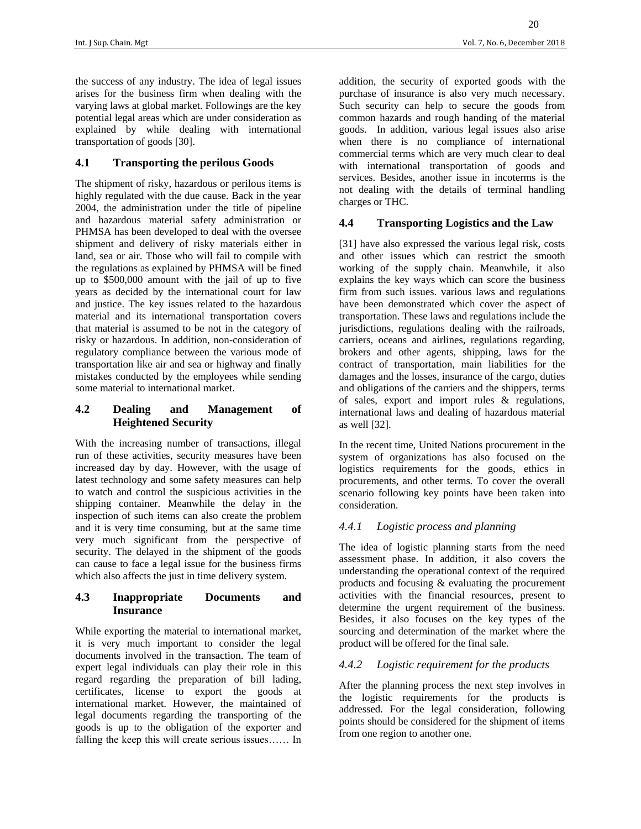the success of any industry. The idea of legal issues arises for the business firm when dealing with the varying laws at global market. Followings are the key potential legal areas which are under consideration as explained by while dealing with international transportation of goods [30].

#### **4.1 Transporting the perilous Goods**

The shipment of risky, hazardous or perilous items is highly regulated with the due cause. Back in the year 2004, the administration under the title of pipeline and hazardous material safety administration or PHMSA has been developed to deal with the oversee shipment and delivery of risky materials either in land, sea or air. Those who will fail to compile with the regulations as explained by PHMSA will be fined up to \$500,000 amount with the jail of up to five years as decided by the international court for law and justice. The key issues related to the hazardous material and its international transportation covers that material is assumed to be not in the category of risky or hazardous. In addition, non-consideration of regulatory compliance between the various mode of transportation like air and sea or highway and finally mistakes conducted by the employees while sending some material to international market.

## **4.2 Dealing and Management of Heightened Security**

With the increasing number of transactions, illegal run of these activities, security measures have been increased day by day. However, with the usage of latest technology and some safety measures can help to watch and control the suspicious activities in the shipping container. Meanwhile the delay in the inspection of such items can also create the problem and it is very time consuming, but at the same time very much significant from the perspective of security. The delayed in the shipment of the goods can cause to face a legal issue for the business firms which also affects the just in time delivery system.

#### **4.3 Inappropriate Documents and Insurance**

While exporting the material to international market, it is very much important to consider the legal documents involved in the transaction. The team of expert legal individuals can play their role in this regard regarding the preparation of bill lading, certificates, license to export the goods at international market. However, the maintained of legal documents regarding the transporting of the goods is up to the obligation of the exporter and falling the keep this will create serious issues…… In addition, the security of exported goods with the purchase of insurance is also very much necessary. Such security can help to secure the goods from common hazards and rough handing of the material goods. In addition, various legal issues also arise when there is no compliance of international commercial terms which are very much clear to deal with international transportation of goods and services. Besides, another issue in incoterms is the not dealing with the details of terminal handling charges or THC.

#### **4.4 Transporting Logistics and the Law**

[31] have also expressed the various legal risk, costs and other issues which can restrict the smooth working of the supply chain. Meanwhile, it also explains the key ways which can score the business firm from such issues. various laws and regulations have been demonstrated which cover the aspect of transportation. These laws and regulations include the jurisdictions, regulations dealing with the railroads, carriers, oceans and airlines, regulations regarding, brokers and other agents, shipping, laws for the contract of transportation, main liabilities for the damages and the losses, insurance of the cargo, duties and obligations of the carriers and the shippers, terms of sales, export and import rules & regulations, international laws and dealing of hazardous material as well [32].

In the recent time, United Nations procurement in the system of organizations has also focused on the logistics requirements for the goods, ethics in procurements, and other terms. To cover the overall scenario following key points have been taken into consideration.

#### *4.4.1 Logistic process and planning*

The idea of logistic planning starts from the need assessment phase. In addition, it also covers the understanding the operational context of the required products and focusing & evaluating the procurement activities with the financial resources, present to determine the urgent requirement of the business. Besides, it also focuses on the key types of the sourcing and determination of the market where the product will be offered for the final sale.

#### *4.4.2 Logistic requirement for the products*

After the planning process the next step involves in the logistic requirements for the products is addressed. For the legal consideration, following points should be considered for the shipment of items from one region to another one.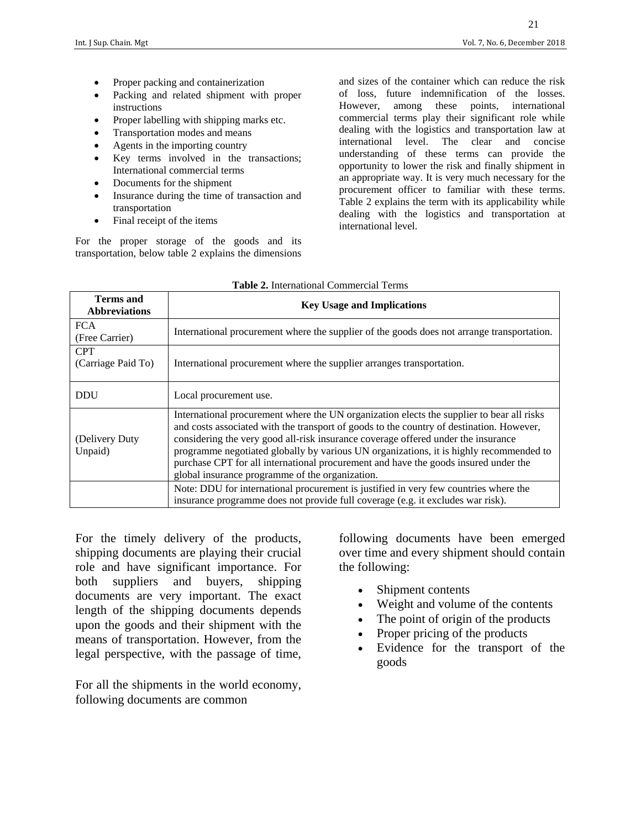- Proper packing and containerization
- Packing and related shipment with proper instructions
- Proper labelling with shipping marks etc.
- Transportation modes and means
- Agents in the importing country
- Key terms involved in the transactions; International commercial terms
- Documents for the shipment
- Insurance during the time of transaction and transportation
- Final receipt of the items

For the proper storage of the goods and its transportation, below table 2 explains the dimensions

and sizes of the container which can reduce the risk of loss, future indemnification of the losses. However, among these points, international commercial terms play their significant role while dealing with the logistics and transportation law at international level. The clear and concise understanding of these terms can provide the opportunity to lower the risk and finally shipment in an appropriate way. It is very much necessary for the procurement officer to familiar with these terms. Table 2 explains the term with its applicability while dealing with the logistics and transportation at international level.

| Terms and<br><b>Abbreviations</b> | <b>Key Usage and Implications</b>                                                                                                                                                                                                                                                                                                                                                                                                                                                                              |
|-----------------------------------|----------------------------------------------------------------------------------------------------------------------------------------------------------------------------------------------------------------------------------------------------------------------------------------------------------------------------------------------------------------------------------------------------------------------------------------------------------------------------------------------------------------|
| <b>FCA</b><br>(Free Carrier)      | International procurement where the supplier of the goods does not arrange transportation.                                                                                                                                                                                                                                                                                                                                                                                                                     |
| <b>CPT</b><br>(Carriage Paid To)  | International procurement where the supplier arranges transportation.                                                                                                                                                                                                                                                                                                                                                                                                                                          |
| <b>DDU</b>                        | Local procurement use.                                                                                                                                                                                                                                                                                                                                                                                                                                                                                         |
| (Delivery Duty)<br>Unpaid)        | International procurement where the UN organization elects the supplier to bear all risks<br>and costs associated with the transport of goods to the country of destination. However,<br>considering the very good all-risk insurance coverage offered under the insurance<br>programme negotiated globally by various UN organizations, it is highly recommended to<br>purchase CPT for all international procurement and have the goods insured under the<br>global insurance programme of the organization. |
|                                   | Note: DDU for international procurement is justified in very few countries where the<br>insurance programme does not provide full coverage (e.g. it excludes war risk).                                                                                                                                                                                                                                                                                                                                        |

#### **Table 2.** International Commercial Terms

For the timely delivery of the products, shipping documents are playing their crucial role and have significant importance. For both suppliers and buyers, shipping documents are very important. The exact length of the shipping documents depends upon the goods and their shipment with the means of transportation. However, from the legal perspective, with the passage of time,

For all the shipments in the world economy, following documents are common

following documents have been emerged over time and every shipment should contain the following:

- Shipment contents
- Weight and volume of the contents
- The point of origin of the products
- Proper pricing of the products
- Evidence for the transport of the goods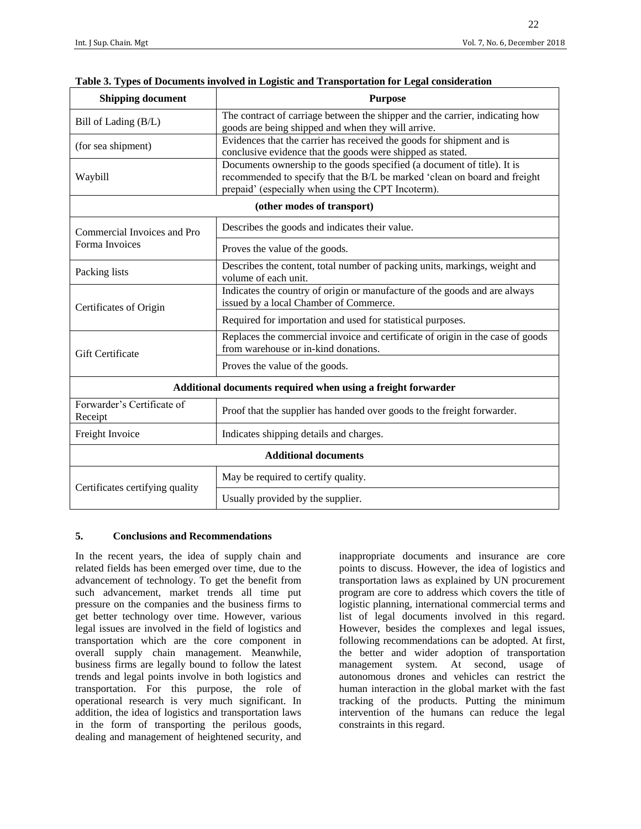| <b>Shipping document</b>                                     | <b>Purpose</b>                                                                                                                                                                                             |  |  |  |
|--------------------------------------------------------------|------------------------------------------------------------------------------------------------------------------------------------------------------------------------------------------------------------|--|--|--|
| Bill of Lading (B/L)                                         | The contract of carriage between the shipper and the carrier, indicating how<br>goods are being shipped and when they will arrive.                                                                         |  |  |  |
| (for sea shipment)                                           | Evidences that the carrier has received the goods for shipment and is<br>conclusive evidence that the goods were shipped as stated.                                                                        |  |  |  |
| Waybill                                                      | Documents ownership to the goods specified (a document of title). It is<br>recommended to specify that the B/L be marked 'clean on board and freight<br>prepaid' (especially when using the CPT Incoterm). |  |  |  |
| (other modes of transport)                                   |                                                                                                                                                                                                            |  |  |  |
| Commercial Invoices and Pro                                  | Describes the goods and indicates their value.                                                                                                                                                             |  |  |  |
| Forma Invoices                                               | Proves the value of the goods.                                                                                                                                                                             |  |  |  |
| Packing lists                                                | Describes the content, total number of packing units, markings, weight and<br>volume of each unit.                                                                                                         |  |  |  |
| Certificates of Origin                                       | Indicates the country of origin or manufacture of the goods and are always<br>issued by a local Chamber of Commerce.                                                                                       |  |  |  |
|                                                              | Required for importation and used for statistical purposes.                                                                                                                                                |  |  |  |
| <b>Gift Certificate</b>                                      | Replaces the commercial invoice and certificate of origin in the case of goods<br>from warehouse or in-kind donations.                                                                                     |  |  |  |
|                                                              | Proves the value of the goods.                                                                                                                                                                             |  |  |  |
| Additional documents required when using a freight forwarder |                                                                                                                                                                                                            |  |  |  |
| Forwarder's Certificate of<br>Receipt                        | Proof that the supplier has handed over goods to the freight forwarder.                                                                                                                                    |  |  |  |
| Freight Invoice                                              | Indicates shipping details and charges.                                                                                                                                                                    |  |  |  |
| <b>Additional documents</b>                                  |                                                                                                                                                                                                            |  |  |  |
| Certificates certifying quality                              | May be required to certify quality.                                                                                                                                                                        |  |  |  |
|                                                              | Usually provided by the supplier.                                                                                                                                                                          |  |  |  |

#### **Table 3. Types of Documents involved in Logistic and Transportation for Legal consideration**

#### **5. Conclusions and Recommendations**

In the recent years, the idea of supply chain and related fields has been emerged over time, due to the advancement of technology. To get the benefit from such advancement, market trends all time put pressure on the companies and the business firms to get better technology over time. However, various legal issues are involved in the field of logistics and transportation which are the core component in overall supply chain management. Meanwhile, business firms are legally bound to follow the latest trends and legal points involve in both logistics and transportation. For this purpose, the role of operational research is very much significant. In addition, the idea of logistics and transportation laws in the form of transporting the perilous goods, dealing and management of heightened security, and inappropriate documents and insurance are core points to discuss. However, the idea of logistics and transportation laws as explained by UN procurement program are core to address which covers the title of logistic planning, international commercial terms and list of legal documents involved in this regard. However, besides the complexes and legal issues, following recommendations can be adopted. At first, the better and wider adoption of transportation management system. At second, usage of autonomous drones and vehicles can restrict the human interaction in the global market with the fast tracking of the products. Putting the minimum intervention of the humans can reduce the legal constraints in this regard.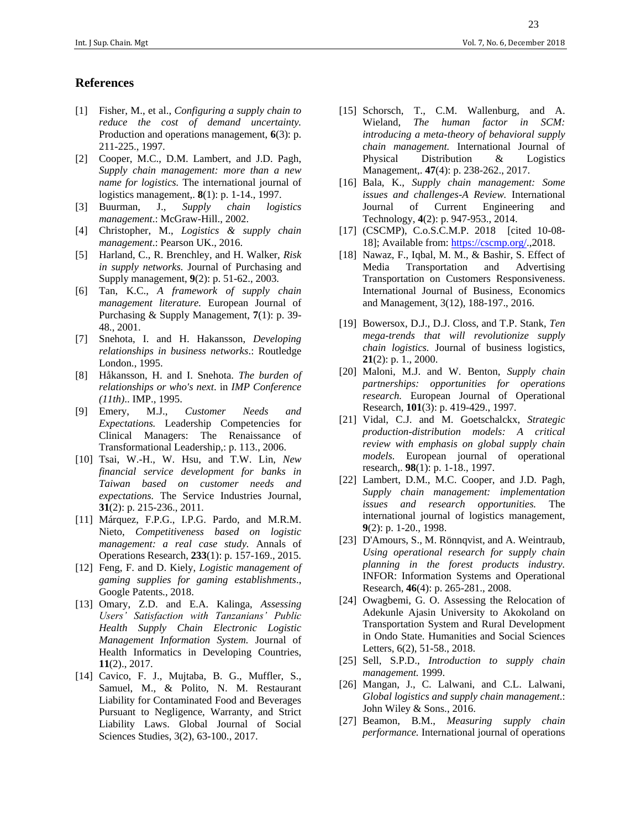## **References**

- [1] Fisher, M., et al., *Configuring a supply chain to reduce the cost of demand uncertainty.* Production and operations management, **6**(3): p. 211-225., 1997.
- [2] Cooper, M.C., D.M. Lambert, and J.D. Pagh, *Supply chain management: more than a new name for logistics.* The international journal of logistics management,. **8**(1): p. 1-14., 1997.
- [3] Buurman, J., *Supply chain logistics management*.: McGraw-Hill., 2002.
- [4] Christopher, M., *Logistics & supply chain management*.: Pearson UK., 2016.
- [5] Harland, C., R. Brenchley, and H. Walker, *Risk in supply networks.* Journal of Purchasing and Supply management, **9**(2): p. 51-62., 2003.
- [6] Tan, K.C., *A framework of supply chain management literature.* European Journal of Purchasing & Supply Management, **7**(1): p. 39- 48., 2001.
- [7] Snehota, I. and H. Hakansson, *Developing relationships in business networks*.: Routledge London., 1995.
- [8] Håkansson, H. and I. Snehota. *The burden of relationships or who's next*. in *IMP Conference (11th)*.. IMP., 1995.
- [9] Emery, M.J., *Customer Needs and Expectations.* Leadership Competencies for Clinical Managers: The Renaissance of Transformational Leadership,: p. 113., 2006.
- [10] Tsai, W.-H., W. Hsu, and T.W. Lin, *New financial service development for banks in Taiwan based on customer needs and expectations.* The Service Industries Journal, **31**(2): p. 215-236., 2011.
- [11] Márquez, F.P.G., I.P.G. Pardo, and M.R.M. Nieto, *Competitiveness based on logistic management: a real case study.* Annals of Operations Research, **233**(1): p. 157-169., 2015.
- [12] Feng, F. and D. Kiely, *Logistic management of gaming supplies for gaming establishments*., Google Patents., 2018.
- [13] Omary, Z.D. and E.A. Kalinga, *Assessing Users' Satisfaction with Tanzanians' Public Health Supply Chain Electronic Logistic Management Information System.* Journal of Health Informatics in Developing Countries, **11**(2)., 2017.
- [14] Cavico, F. J., Mujtaba, B. G., Muffler, S., Samuel, M., & Polito, N. M. Restaurant Liability for Contaminated Food and Beverages Pursuant to Negligence, Warranty, and Strict Liability Laws. Global Journal of Social Sciences Studies, 3(2), 63-100., 2017.
- [15] Schorsch, T., C.M. Wallenburg, and A. Wieland, *The human factor in SCM: introducing a meta-theory of behavioral supply chain management.* International Journal of Physical Distribution & Logistics Management,. **47**(4): p. 238-262., 2017.
- [16] Bala, K., *Supply chain management: Some issues and challenges-A Review.* International Journal of Current Engineering and Technology, **4**(2): p. 947-953., 2014.
- [17] (CSCMP), C.o.S.C.M.P. 2018 [cited 10-08-18]; Available from: [https://cscmp.org/.](https://cscmp.org/),2018.
- [18] Nawaz, F., Iqbal, M. M., & Bashir, S. Effect of Media Transportation and Advertising Transportation on Customers Responsiveness. International Journal of Business, Economics and Management, 3(12), 188-197., 2016.
- [19] Bowersox, D.J., D.J. Closs, and T.P. Stank, *Ten mega-trends that will revolutionize supply chain logistics.* Journal of business logistics, **21**(2): p. 1., 2000.
- [20] Maloni, M.J. and W. Benton, *Supply chain partnerships: opportunities for operations research.* European Journal of Operational Research, **101**(3): p. 419-429., 1997.
- [21] Vidal, C.J. and M. Goetschalckx, *Strategic production-distribution models: A critical review with emphasis on global supply chain models.* European journal of operational research,. **98**(1): p. 1-18., 1997.
- [22] Lambert, D.M., M.C. Cooper, and J.D. Pagh, *Supply chain management: implementation issues and research opportunities.* The international journal of logistics management, **9**(2): p. 1-20., 1998.
- [23] D'Amours, S., M. Rönnqvist, and A. Weintraub, *Using operational research for supply chain planning in the forest products industry.* INFOR: Information Systems and Operational Research, **46**(4): p. 265-281., 2008.
- [24] Owagbemi, G. O. Assessing the Relocation of Adekunle Ajasin University to Akokoland on Transportation System and Rural Development in Ondo State. Humanities and Social Sciences Letters, 6(2), 51-58., 2018.
- [25] Sell, S.P.D., *Introduction to supply chain management.* 1999.
- [26] Mangan, J., C. Lalwani, and C.L. Lalwani, *Global logistics and supply chain management*.: John Wiley & Sons., 2016.
- [27] Beamon, B.M., *Measuring supply chain performance.* International journal of operations